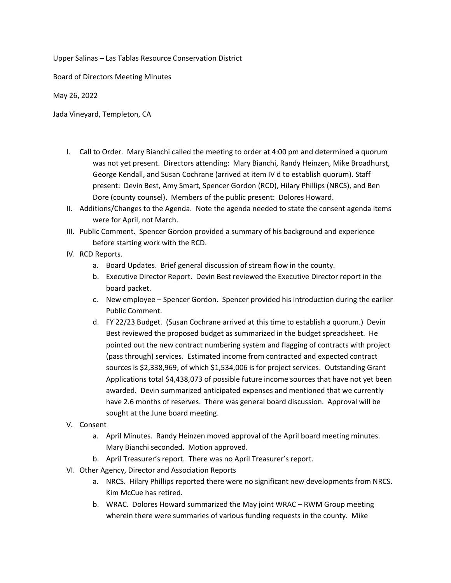Upper Salinas – Las Tablas Resource Conservation District

Board of Directors Meeting Minutes

May 26, 2022

Jada Vineyard, Templeton, CA

- I. Call to Order. Mary Bianchi called the meeting to order at 4:00 pm and determined a quorum was not yet present. Directors attending: Mary Bianchi, Randy Heinzen, Mike Broadhurst, George Kendall, and Susan Cochrane (arrived at item IV d to establish quorum). Staff present: Devin Best, Amy Smart, Spencer Gordon (RCD), Hilary Phillips (NRCS), and Ben Dore (county counsel). Members of the public present: Dolores Howard.
- II. Additions/Changes to the Agenda. Note the agenda needed to state the consent agenda items were for April, not March.
- III. Public Comment. Spencer Gordon provided a summary of his background and experience before starting work with the RCD.
- IV. RCD Reports.
	- a. Board Updates. Brief general discussion of stream flow in the county.
	- b. Executive Director Report. Devin Best reviewed the Executive Director report in the board packet.
	- c. New employee Spencer Gordon. Spencer provided his introduction during the earlier Public Comment.
	- d. FY 22/23 Budget. (Susan Cochrane arrived at this time to establish a quorum.) Devin Best reviewed the proposed budget as summarized in the budget spreadsheet. He pointed out the new contract numbering system and flagging of contracts with project (pass through) services. Estimated income from contracted and expected contract sources is \$2,338,969, of which \$1,534,006 is for project services. Outstanding Grant Applications total \$4,438,073 of possible future income sources that have not yet been awarded. Devin summarized anticipated expenses and mentioned that we currently have 2.6 months of reserves. There was general board discussion. Approval will be sought at the June board meeting.
- V. Consent
	- a. April Minutes. Randy Heinzen moved approval of the April board meeting minutes. Mary Bianchi seconded. Motion approved.
	- b. April Treasurer's report. There was no April Treasurer's report.
- VI. Other Agency, Director and Association Reports
	- a. NRCS. Hilary Phillips reported there were no significant new developments from NRCS. Kim McCue has retired.
	- b. WRAC. Dolores Howard summarized the May joint WRAC RWM Group meeting wherein there were summaries of various funding requests in the county. Mike